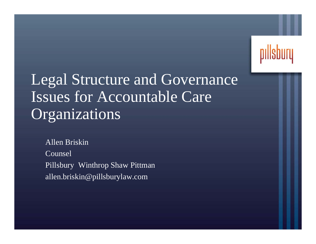

# Legal Structure and Governance Issues for Accountable Care **Organizations**

Allen BriskinCounselPillsbury Winthrop Shaw Pittman allen.briskin@pillsburylaw.com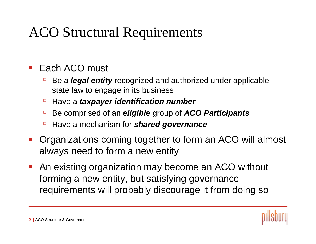# ACO Structural Requirements

#### p. Each ACO must

- $\Box$  Be a *legal entity* recognized and authorized under applicable state law to engage in its business
- àHave a *taxpayer identification number*
- àBe comprised of an *eligible* group of *ACO Participants*
- àHave a mechanism for *shared governance*
- $\mathcal{L}_{\mathcal{A}}$  Organizations coming together to form an ACO will almost always need to form a new entity
- $\mathcal{L}_{\mathcal{A}}$  An existing organization may become an ACO without forming a new entity, but satisfying governance requirements will probably discourage it from doing so

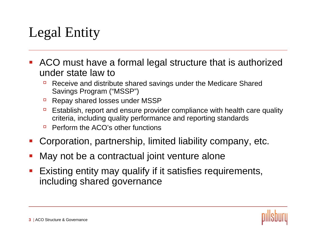# Legal Entity

- $\mathcal{L}_{\mathcal{A}}$  ACO must have a formal legal structure that is authorized under state law to
	- à Receive and distribute shared savings under the Medicare Shared Savings Program ("MSSP")
	- àRepay shared losses under MSSP
	- $\Box$  Establish, report and ensure provider compliance with health care quality criteria, including quality performance and reporting standards
	- Perform the ACO's other functions
- p. Corporation, partnership, limited liability company, etc.
- p. May not be a contractual joint venture alone
- $\mathcal{L}_{\mathcal{A}}$  Existing entity may qualify if it satisfies requirements, including shared governance

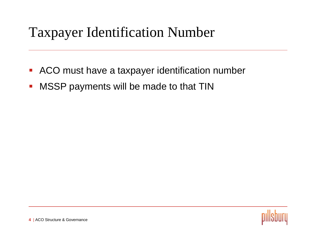### Taxpayer Identification Number

- $\mathbb{R}^2$ ACO must have a taxpayer identification number
- $\mathcal{L}_{\mathcal{A}}$ MSSP payments will be made to that TIN

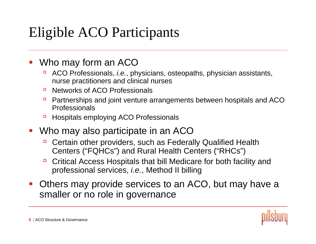# Eligible ACO Participants

#### $\mathcal{L}_{\mathcal{A}}$ Who may form an ACO

- à ACO Professionals, *i.e.*, physicians, osteopaths, physician assistants, nurse practitioners and clinical nurses
- $\Box$ Networks of ACO Professionals
- $\Box$  Partnerships and joint venture arrangements between hospitals and ACO Professionals
- àHospitals employing ACO Professionals
- **Who may also participate in an ACO** 
	- à Certain other providers, such as Federally Qualified Health Centers ("FQHCs") and Rural Health Centers ("RHCs")
	- à Critical Access Hospitals that bill Medicare for both facility and professional services, *i.e.*, Method II billing
- $\mathcal{L}_{\mathcal{A}}$  Others may provide services to an ACO, but may have a smaller or no role in governance

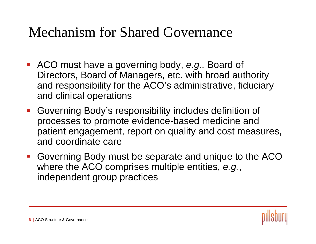### Mechanism for Shared Governance

- ACO must have a governing body, *e.g.,* Board of Directors, Board of Managers, etc. with broad authority and responsibility for the ACO's administrative, fiduciary and clinical operations
- Governing Body's responsibility includes definition of processes to promote evidence-based medicine and patient engagement, report on quality and cost measures, and coordinate care
- Governing Body must be separate and unique to the ACO where the ACO comprises multiple entities, *e.g.*, independent group practices

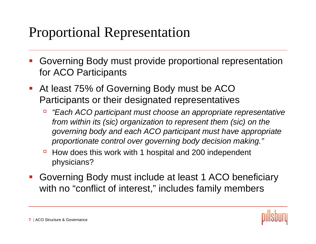### Proportional Representation

- p. Governing Body must provide proportional representation for ACO Participants
- $\mathcal{L}_{\mathcal{A}}$  At least 75% of Governing Body must be ACO Participants or their designated representatives
	- $\Box$  *"Each ACO participant must choose an appropriate representative from within its (sic) organization to represent them (sic) on the governing body and each ACO participant must have appropriate proportionate control over governing body decision making."*
	- à How does this work with 1 hospital and 200 independent physicians?
- b. Governing Body must include at least 1 ACO beneficiary with no "conflict of interest," includes family members

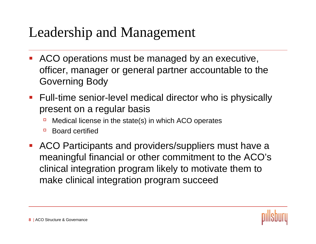### Leadership and Management

- p. ACO operations must be managed by an executive, officer, manager or general partner accountable to the Governing Body
- $\mathcal{L}_{\mathcal{A}}$  Full-time senior-level medical director who is physically present on a regular basis
	- àMedical license in the state(s) in which ACO operates
	- $\Box$ Board certified
- $\mathcal{L}_{\mathcal{A}}$  ACO Participants and providers/suppliers must have a meaningful financial or other commitment to the ACO's clinical integration program likely to motivate them to make clinical integration program succeed

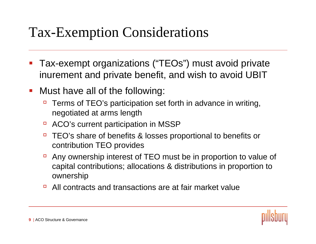### Tax-Exemption Considerations

- $\mathcal{L}_{\mathcal{A}}$  Tax-exempt organizations ("TEOs") must avoid private inurement and private benefit, and wish to avoid UBIT
- $\mathcal{L}_{\mathcal{A}}$  Must have all of the following:
	- à Terms of TEO's participation set forth in advance in writing, negotiated at arms length
	- àACO's current participation in MSSP
	- à TEO's share of benefits & losses proportional to benefits or contribution TEO provides
	- à Any ownership interest of TEO must be in proportion to value of capital contributions; allocations & distributions in proportion to ownership
	- $\Box$ All contracts and transactions are at fair market value